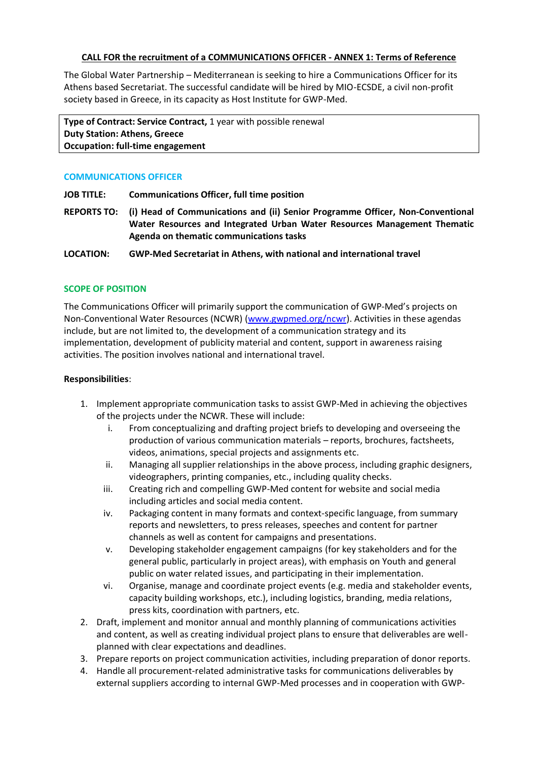### **CALL FOR the recruitment of a COMMUNICATIONS OFFICER - ANNEX 1: Terms of Reference**

The Global Water Partnership – Mediterranean is seeking to hire a Communications Officer for its Athens based Secretariat. The successful candidate will be hired by MIO-ECSDE, a civil non-profit society based in Greece, in its capacity as Host Institute for GWP-Med.

**Type of Contract: Service Contract,** 1 year with possible renewal **Duty Station: Athens, Greece Occupation: full-time engagement** 

### **COMMUNICATIONS OFFICER**

**JOB TITLE: Communications Officer, full time position**

**REPORTS TO: (i) Head of Communications and (ii) Senior Programme Officer, Non-Conventional Water Resources and Integrated Urban Water Resources Management Thematic Agenda on thematic communications tasks**

**LOCATION: GWP-Med Secretariat in Athens, with national and international travel**

# **SCOPE OF POSITION**

The Communications Officer will primarily support the communication of GWP-Med's projects on Non-Conventional Water Resources (NCWR) [\(www.gwpmed.org/ncwr\)](http://www.gwpmed.org/ncwr). Activities in these agendas include, but are not limited to, the development of a communication strategy and its implementation, development of publicity material and content, support in awareness raising activities. The position involves national and international travel.

### **Responsibilities**:

- 1. Implement appropriate communication tasks to assist GWP-Med in achieving the objectives of the projects under the NCWR. These will include:
	- i. From conceptualizing and drafting project briefs to developing and overseeing the production of various communication materials – reports, brochures, factsheets, videos, animations, special projects and assignments etc.
	- ii. Managing all supplier relationships in the above process, including graphic designers, videographers, printing companies, etc., including quality checks.
	- iii. Creating rich and compelling GWP-Med content for website and social media including articles and social media content.
	- iv. Packaging content in many formats and context-specific language, from summary reports and newsletters, to press releases, speeches and content for partner channels as well as content for campaigns and presentations.
	- v. Developing stakeholder engagement campaigns (for key stakeholders and for the general public, particularly in project areas), with emphasis on Youth and general public on water related issues, and participating in their implementation.
	- vi. Organise, manage and coordinate project events (e.g. media and stakeholder events, capacity building workshops, etc.), including logistics, branding, media relations, press kits, coordination with partners, etc.
- 2. Draft, implement and monitor annual and monthly planning of communications activities and content, as well as creating individual project plans to ensure that deliverables are wellplanned with clear expectations and deadlines.
- 3. Prepare reports on project communication activities, including preparation of donor reports.
- 4. Handle all procurement-related administrative tasks for communications deliverables by external suppliers according to internal GWP-Med processes and in cooperation with GWP-